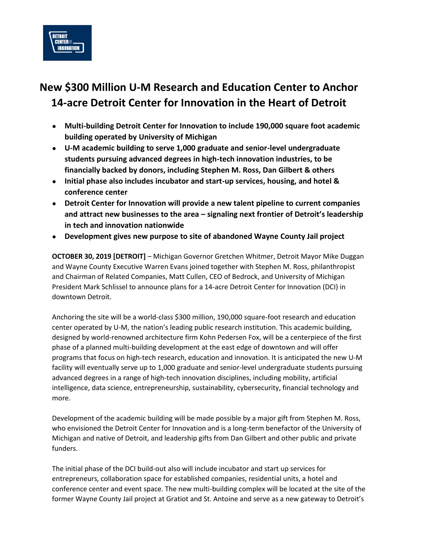

# **New \$300 Million U-M Research and Education Center to Anchor 14-acre Detroit Center for Innovation in the Heart of Detroit**

- **Multi-building Detroit Center for Innovation to include 190,000 square foot academic building operated by University of Michigan**
- **U-M academic building to serve 1,000 graduate and senior-level undergraduate students pursuing advanced degrees in high-tech innovation industries, to be financially backed by donors, including Stephen M. Ross, Dan Gilbert & others**
- **Initial phase also includes incubator and start-up services, housing, and hotel & conference center**
- **Detroit Center for Innovation will provide a new talent pipeline to current companies and attract new businesses to the area – signaling next frontier of Detroit's leadership in tech and innovation nationwide**
- **Development gives new purpose to site of abandoned Wayne County Jail project**

**OCTOBER 30, 2019 [DETROIT]** – Michigan Governor Gretchen Whitmer, Detroit Mayor Mike Duggan and Wayne County Executive Warren Evans joined together with Stephen M. Ross, philanthropist and Chairman of Related Companies, Matt Cullen, CEO of Bedrock, and University of Michigan President Mark Schlissel to announce plans for a 14-acre Detroit Center for Innovation (DCI) in downtown Detroit.

Anchoring the site will be a world-class \$300 million, 190,000 square-foot research and education center operated by U-M, the nation's leading public research institution. This academic building, designed by world-renowned architecture firm Kohn Pedersen Fox, will be a centerpiece of the first phase of a planned multi-building development at the east edge of downtown and will offer programs that focus on high-tech research, education and innovation. It is anticipated the new U-M facility will eventually serve up to 1,000 graduate and senior-level undergraduate students pursuing advanced degrees in a range of high-tech innovation disciplines, including mobility, artificial intelligence, data science, entrepreneurship, sustainability, cybersecurity, financial technology and more.

Development of the academic building will be made possible by a major gift from Stephen M. Ross, who envisioned the Detroit Center for Innovation and is a long-term benefactor of the University of Michigan and native of Detroit, and leadership gifts from Dan Gilbert and other public and private funders.

The initial phase of the DCI build-out also will include incubator and start up services for entrepreneurs, collaboration space for established companies, residential units, a hotel and conference center and event space. The new multi-building complex will be located at the site of the former Wayne County Jail project at Gratiot and St. Antoine and serve as a new gateway to Detroit's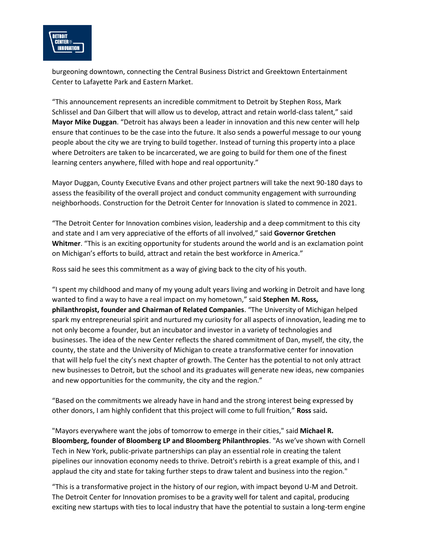

burgeoning downtown, connecting the Central Business District and Greektown Entertainment Center to Lafayette Park and Eastern Market.

"This announcement represents an incredible commitment to Detroit by Stephen Ross, Mark Schlissel and Dan Gilbert that will allow us to develop, attract and retain world-class talent," said **Mayor Mike Duggan**. "Detroit has always been a leader in innovation and this new center will help ensure that continues to be the case into the future. It also sends a powerful message to our young people about the city we are trying to build together. Instead of turning this property into a place where Detroiters are taken to be incarcerated, we are going to build for them one of the finest learning centers anywhere, filled with hope and real opportunity."

Mayor Duggan, County Executive Evans and other project partners will take the next 90-180 days to assess the feasibility of the overall project and conduct community engagement with surrounding neighborhoods. Construction for the Detroit Center for Innovation is slated to commence in 2021.

"The Detroit Center for Innovation combines vision, leadership and a deep commitment to this city and state and I am very appreciative of the efforts of all involved," said **Governor Gretchen Whitmer**. "This is an exciting opportunity for students around the world and is an exclamation point on Michigan's efforts to build, attract and retain the best workforce in America."

Ross said he sees this commitment as a way of giving back to the city of his youth.

"I spent my childhood and many of my young adult years living and working in Detroit and have long wanted to find a way to have a real impact on my hometown," said **Stephen M. Ross, philanthropist, founder and Chairman of Related Companies**. "The University of Michigan helped spark my entrepreneurial spirit and nurtured my curiosity for all aspects of innovation, leading me to not only become a founder, but an incubator and investor in a variety of technologies and businesses. The idea of the new Center reflects the shared commitment of Dan, myself, the city, the county, the state and the University of Michigan to create a transformative center for innovation that will help fuel the city's next chapter of growth. The Center has the potential to not only attract new businesses to Detroit, but the school and its graduates will generate new ideas, new companies and new opportunities for the community, the city and the region."

"Based on the commitments we already have in hand and the strong interest being expressed by other donors, I am highly confident that this project will come to full fruition," **Ross** said**.**

"Mayors everywhere want the jobs of tomorrow to emerge in their cities," said **Michael R. Bloomberg, founder of Bloomberg LP and Bloomberg Philanthropies**. "As we've shown with Cornell Tech in New York, public-private partnerships can play an essential role in creating the talent pipelines our innovation economy needs to thrive. Detroit's rebirth is a great example of this, and I applaud the city and state for taking further steps to draw talent and business into the region."

"This is a transformative project in the history of our region, with impact beyond U-M and Detroit. The Detroit Center for Innovation promises to be a gravity well for talent and capital, producing exciting new startups with ties to local industry that have the potential to sustain a long-term engine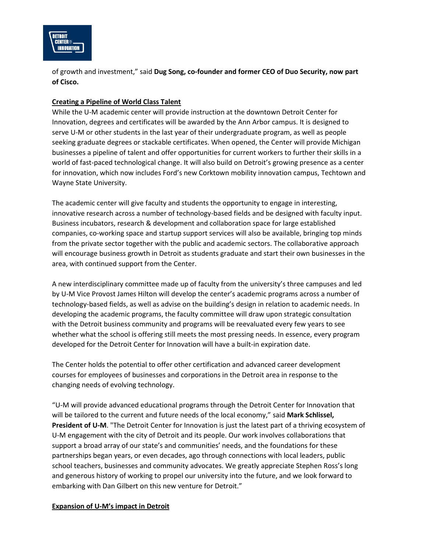

of growth and investment," said **Dug Song, co-founder and former CEO of Duo Security, now part of Cisco.**

# **Creating a Pipeline of World Class Talent**

While the U-M academic center will provide instruction at the downtown Detroit Center for Innovation, degrees and certificates will be awarded by the Ann Arbor campus. It is designed to serve U-M or other students in the last year of their undergraduate program, as well as people seeking graduate degrees or stackable certificates. When opened, the Center will provide Michigan businesses a pipeline of talent and offer opportunities for current workers to further their skills in a world of fast-paced technological change. It will also build on Detroit's growing presence as a center for innovation, which now includes Ford's new Corktown mobility innovation campus, Techtown and Wayne State University.

The academic center will give faculty and students the opportunity to engage in interesting, innovative research across a number of technology-based fields and be designed with faculty input. Business incubators, research & development and collaboration space for large established companies, co-working space and startup support services will also be available, bringing top minds from the private sector together with the public and academic sectors. The collaborative approach will encourage business growth in Detroit as students graduate and start their own businesses in the area, with continued support from the Center.

A new interdisciplinary committee made up of faculty from the university's three campuses and led by U-M Vice Provost James Hilton will develop the center's academic programs across a number of technology-based fields, as well as advise on the building's design in relation to academic needs. In developing the academic programs, the faculty committee will draw upon strategic consultation with the Detroit business community and programs will be reevaluated every few years to see whether what the school is offering still meets the most pressing needs. In essence, every program developed for the Detroit Center for Innovation will have a built-in expiration date.

The Center holds the potential to offer other certification and advanced career development courses for employees of businesses and corporations in the Detroit area in response to the changing needs of evolving technology.

"U-M will provide advanced educational programs through the Detroit Center for Innovation that will be tailored to the current and future needs of the local economy," said **Mark Schlissel, President of U-M**. "The Detroit Center for Innovation is just the latest part of a thriving ecosystem of U-M engagement with the city of Detroit and its people. Our work involves collaborations that support a broad array of our state's and communities' needs, and the foundations for these partnerships began years, or even decades, ago through connections with local leaders, public school teachers, businesses and community advocates. We greatly appreciate Stephen Ross's long and generous history of working to propel our university into the future, and we look forward to embarking with Dan Gilbert on this new venture for Detroit."

# **Expansion of U-M's impact in Detroit**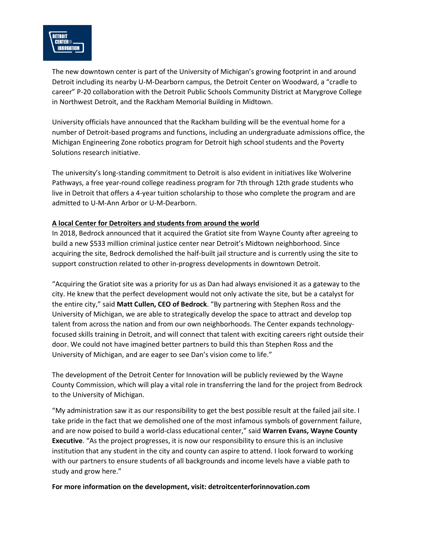

The new downtown center is part of the University of Michigan's growing footprint in and around Detroit including its nearby U-M-Dearborn campus, the Detroit Center on Woodward, a "cradle to career" P-20 collaboration with the Detroit Public Schools Community District at Marygrove College in Northwest Detroit, and the Rackham Memorial Building in Midtown.

University officials have announced that the Rackham building will be the eventual home for a number of Detroit-based programs and functions, including an undergraduate admissions office, the Michigan Engineering Zone robotics program for Detroit high school students and the Poverty Solutions research initiative.

The university's long-standing commitment to Detroit is also evident in initiatives like Wolverine Pathways, a free year-round college readiness program for 7th through 12th grade students who live in Detroit that offers a 4-year tuition scholarship to those who complete the program and are admitted to U-M-Ann Arbor or U-M-Dearborn.

# **A local Center for Detroiters and students from around the world**

In 2018, Bedrock announced that it acquired the Gratiot site from Wayne County after agreeing to build a new \$533 million criminal justice center near Detroit's Midtown neighborhood. Since acquiring the site, Bedrock demolished the half-built jail structure and is currently using the site to support construction related to other in-progress developments in downtown Detroit.

"Acquiring the Gratiot site was a priority for us as Dan had always envisioned it as a gateway to the city. He knew that the perfect development would not only activate the site, but be a catalyst for the entire city," said **Matt Cullen, CEO of Bedrock**. "By partnering with Stephen Ross and the University of Michigan, we are able to strategically develop the space to attract and develop top talent from across the nation and from our own neighborhoods. The Center expands technologyfocused skills training in Detroit, and will connect that talent with exciting careers right outside their door. We could not have imagined better partners to build this than Stephen Ross and the University of Michigan, and are eager to see Dan's vision come to life."

The development of the Detroit Center for Innovation will be publicly reviewed by the Wayne County Commission, which will play a vital role in transferring the land for the project from Bedrock to the University of Michigan.

"My administration saw it as our responsibility to get the best possible result at the failed jail site. I take pride in the fact that we demolished one of the most infamous symbols of government failure, and are now poised to build a world-class educational center," said **Warren Evans, Wayne County Executive**. "As the project progresses, it is now our responsibility to ensure this is an inclusive institution that any student in the city and county can aspire to attend. I look forward to working with our partners to ensure students of all backgrounds and income levels have a viable path to study and grow here."

# **For more information on the development, visit: detroitcenterforinnovation.com**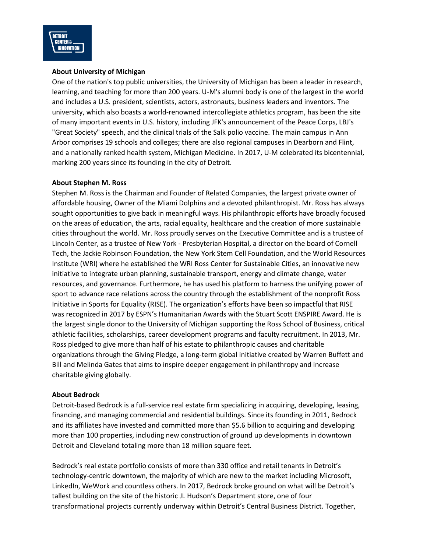#### **About University of Michigan**

One of the nation's top public universities, the University of Michigan has been a leader in research, learning, and teaching for more than 200 years. U-M's alumni body is one of the largest in the world and includes a U.S. president, scientists, actors, astronauts, business leaders and inventors. The university, which also boasts a world-renowned intercollegiate athletics program, has been the site of many important events in U.S. history, including JFK's announcement of the Peace Corps, LBJ's "Great Society" speech, and the clinical trials of the Salk polio vaccine. The main campus in Ann Arbor comprises 19 schools and colleges; there are also regional campuses in Dearborn and Flint, and a nationally ranked health system, Michigan Medicine. In 2017, U-M celebrated its bicentennial, marking 200 years since its founding in the city of Detroit.

# **About Stephen M. Ross**

Stephen M. Ross is the Chairman and Founder of Related Companies, the largest private owner of affordable housing, Owner of the Miami Dolphins and a devoted philanthropist. Mr. Ross has always sought opportunities to give back in meaningful ways. His philanthropic efforts have broadly focused on the areas of education, the arts, racial equality, healthcare and the creation of more sustainable cities throughout the world. Mr. Ross proudly serves on the Executive Committee and is a trustee of Lincoln Center, as a trustee of New York - Presbyterian Hospital, a director on the board of Cornell Tech, the Jackie Robinson Foundation, the New York Stem Cell Foundation, and the World Resources Institute (WRI) where he established the WRI Ross Center for Sustainable Cities, an innovative new initiative to integrate urban planning, sustainable transport, energy and climate change, water resources, and governance. Furthermore, he has used his platform to harness the unifying power of sport to advance race relations across the country through the establishment of the nonprofit Ross Initiative in Sports for Equality (RISE). The organization's efforts have been so impactful that RISE was recognized in 2017 by ESPN's Humanitarian Awards with the Stuart Scott ENSPIRE Award. He is the largest single donor to the University of Michigan supporting the Ross School of Business, critical athletic facilities, scholarships, career development programs and faculty recruitment. In 2013, Mr. Ross pledged to give more than half of his estate to philanthropic causes and charitable organizations through the Giving Pledge, a long-term global initiative created by Warren Buffett and Bill and Melinda Gates that aims to inspire deeper engagement in philanthropy and increase charitable giving globally.

# **About Bedrock**

Detroit-based Bedrock is a full-service real estate firm specializing in acquiring, developing, leasing, financing, and managing commercial and residential buildings. Since its founding in 2011, Bedrock and its affiliates have invested and committed more than \$5.6 billion to acquiring and developing more than 100 properties, including new construction of ground up developments in downtown Detroit and Cleveland totaling more than 18 million square feet.

Bedrock's real estate portfolio consists of more than 330 office and retail tenants in Detroit's technology-centric downtown, the majority of which are new to the market including Microsoft, LinkedIn, WeWork and countless others. In 2017, Bedrock broke ground on what will be Detroit's tallest building on the site of the historic JL Hudson's Department store, one of four transformational projects currently underway within Detroit's Central Business District. Together,